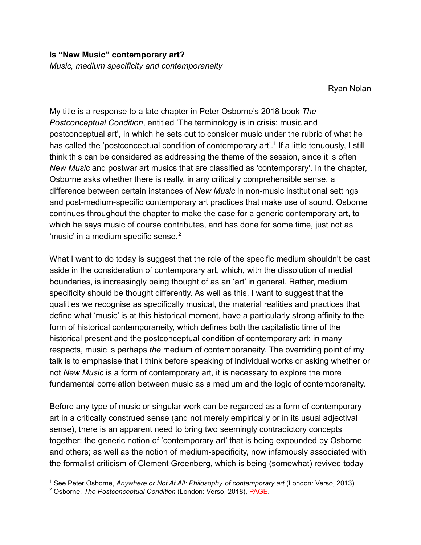*Music, medium specificity and contemporaneity*

Ryan Nolan

My title is a response to a late chapter in Peter Osborne's 2018 book *The Postconceptual Condition*, entitled 'The terminology is in crisis: music and postconceptual art', in which he sets out to consider music under the rubric of what he has called the 'postconceptual condition of contemporary art'.<sup>1</sup> If a little tenuously, I still think this can be considered as addressing the theme of the session, since it is often *New Music* and postwar art musics that are classified as 'contemporary'. In the chapter, Osborne asks whether there is really, in any critically comprehensible sense, a difference between certain instances of *New Music* in non-music institutional settings and post-medium-specific contemporary art practices that make use of sound. Osborne continues throughout the chapter to make the case for a generic contemporary art, to which he says music of course contributes, and has done for some time, just not as 'music' in a medium specific sense. $2$ 

What I want to do today is suggest that the role of the specific medium shouldn't be cast aside in the consideration of contemporary art, which, with the dissolution of medial boundaries, is increasingly being thought of as an 'art' in general. Rather, medium specificity should be thought differently. As well as this, I want to suggest that the qualities we recognise as specifically musical, the material realities and practices that define what 'music' is at this historical moment, have a particularly strong affinity to the form of historical contemporaneity, which defines both the capitalistic time of the historical present and the postconceptual condition of contemporary art: in many respects, music is perhaps *the* medium of contemporaneity. The overriding point of my talk is to emphasise that I think before speaking of individual works or asking whether or not *New Music* is a form of contemporary art, it is necessary to explore the more fundamental correlation between music as a medium and the logic of contemporaneity.

Before any type of music or singular work can be regarded as a form of contemporary art in a critically construed sense (and not merely empirically or in its usual adjectival sense), there is an apparent need to bring two seemingly contradictory concepts together: the generic notion of 'contemporary art' that is being expounded by Osborne and others; as well as the notion of medium-specificity, now infamously associated with the formalist criticism of Clement Greenberg, which is being (somewhat) revived today

<sup>1</sup> See Peter Osborne, *Anywhere or Not At All: Philosophy of contemporary art* (London: Verso, 2013).

<sup>2</sup> Osborne, *The Postconceptual Condition* (London: Verso, 2018), PAGE.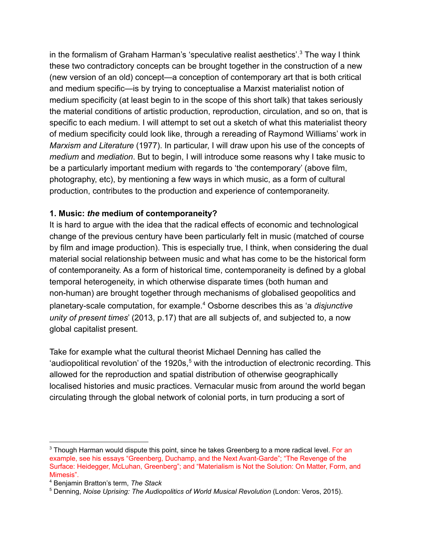in the formalism of Graham Harman's 'speculative realist aesthetics'.<sup>3</sup> The way I think these two contradictory concepts can be brought together in the construction of a new (new version of an old) concept—a conception of contemporary art that is both critical and medium specific—is by trying to conceptualise a Marxist materialist notion of medium specificity (at least begin to in the scope of this short talk) that takes seriously the material conditions of artistic production, reproduction, circulation, and so on, that is specific to each medium. I will attempt to set out a sketch of what this materialist theory of medium specificity could look like, through a rereading of Raymond Williams' work in *Marxism and Literature* (1977). In particular, I will draw upon his use of the concepts of *medium* and *mediation*. But to begin, I will introduce some reasons why I take music to be a particularly important medium with regards to 'the contemporary' (above film, photography, etc), by mentioning a few ways in which music, as a form of cultural production, contributes to the production and experience of contemporaneity.

## **1. Music:** *the* **medium of contemporaneity?**

It is hard to argue with the idea that the radical effects of economic and technological change of the previous century have been particularly felt in music (matched of course by film and image production). This is especially true, I think, when considering the dual material social relationship between music and what has come to be the historical form of contemporaneity. As a form of historical time, contemporaneity is defined by a global temporal heterogeneity, in which otherwise disparate times (both human and non-human) are brought together through mechanisms of globalised geopolitics and planetary-scale computation, for example.<sup>4</sup> Osborne describes this as 'a *disjunctive unity of present times*' (2013, p.17) that are all subjects of, and subjected to, a now global capitalist present.

Take for example what the cultural theorist Michael Denning has called the 'audiopolitical revolution' of the 1920s,<sup>5</sup> with the introduction of electronic recording. This allowed for the reproduction and spatial distribution of otherwise geographically localised histories and music practices. Vernacular music from around the world began circulating through the global network of colonial ports, in turn producing a sort of

 $3$  Though Harman would dispute this point, since he takes Greenberg to a more radical level. For an example, see his essays "Greenberg, Duchamp, and the Next Avant-Garde"; "The Revenge of the Surface: Heidegger, McLuhan, Greenberg"; and "Materialism is Not the Solution: On Matter, Form, and Mimesis".

<sup>4</sup> Benjamin Bratton's term, *The Stack*

<sup>5</sup> Denning, *Noise Uprising: The Audiopolitics of World Musical Revolution* (London: Veros, 2015).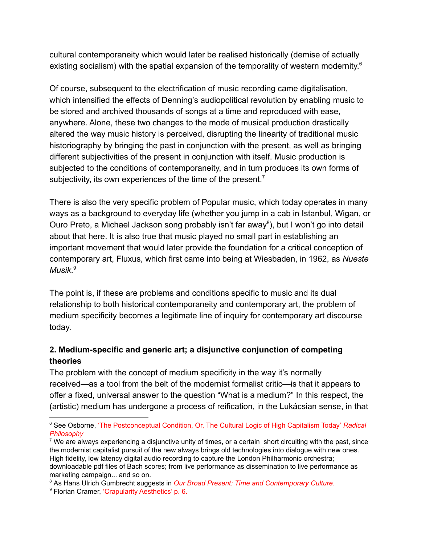cultural contemporaneity which would later be realised historically (demise of actually existing socialism) with the spatial expansion of the temporality of western modernity. $6$ 

Of course, subsequent to the electrification of music recording came digitalisation, which intensified the effects of Denning's audiopolitical revolution by enabling music to be stored and archived thousands of songs at a time and reproduced with ease, anywhere. Alone, these two changes to the mode of musical production drastically altered the way music history is perceived, disrupting the linearity of traditional music historiography by bringing the past in conjunction with the present, as well as bringing different subjectivities of the present in conjunction with itself. Music production is subjected to the conditions of contemporaneity, and in turn produces its own forms of subjectivity, its own experiences of the time of the present.<sup>7</sup>

There is also the very specific problem of Popular music, which today operates in many ways as a background to everyday life (whether you jump in a cab in Istanbul, Wigan, or Ouro Preto, a Michael Jackson song probably isn't far away<sup>8</sup>), but I won't go into detail about that here. It is also true that music played no small part in establishing an important movement that would later provide the foundation for a critical conception of contemporary art, Fluxus, which first came into being at Wiesbaden, in 1962, as *Nueste Musik*. 9

The point is, if these are problems and conditions specific to music and its dual relationship to both historical contemporaneity and contemporary art, the problem of medium specificity becomes a legitimate line of inquiry for contemporary art discourse today.

## **2. Medium-specific and generic art; a disjunctive conjunction of competing theories**

The problem with the concept of medium specificity in the way it's normally received—as a tool from the belt of the modernist formalist critic—is that it appears to offer a fixed, universal answer to the question "What is a medium?" In this respect, the (artistic) medium has undergone a process of reification, in the Lukácsian sense, in that

<sup>6</sup> See Osborne, 'The Postconceptual Condition, Or, The Cultural Logic of High Capitalism Today' *Radical Philosophy*

<sup>&</sup>lt;sup>7</sup> We are always experiencing a disjunctive unity of times, or a certain short circuiting with the past, since the modernist capitalist pursuit of the new always brings old technologies into dialogue with new ones. High fidelity, low latency digital audio recording to capture the London Philharmonic orchestra; downloadable pdf files of Bach scores; from live performance as dissemination to live performance as marketing campaign... and so on.

<sup>8</sup> As Hans Ulrich Gumbrecht suggests in *Our Broad Present: Time and Contemporary Culture*.

<sup>&</sup>lt;sup>9</sup> Florian Cramer, 'Crapularity Aesthetics' p. 6.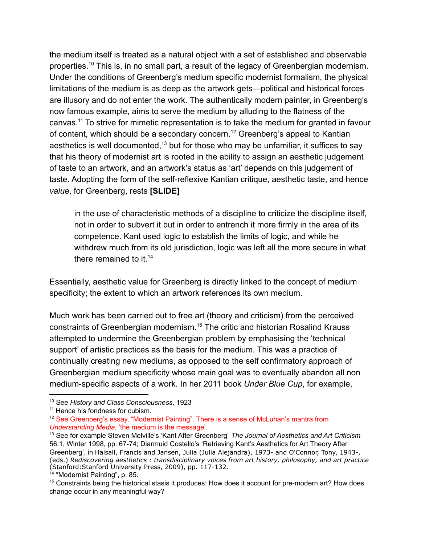the medium itself is treated as a natural object with a set of established and observable properties.<sup>10</sup> This is, in no small part, a result of the legacy of Greenbergian modernism. Under the conditions of Greenberg's medium specific modernist formalism, the physical limitations of the medium is as deep as the artwork gets—political and historical forces are illusory and do not enter the work. The authentically modern painter, in Greenberg's now famous example, aims to serve the medium by alluding to the flatness of the canvas.<sup>11</sup> To strive for mimetic representation is to take the medium for granted in favour of content, which should be a secondary concern.<sup>12</sup> Greenberg's appeal to Kantian aesthetics is well documented,<sup> $13$ </sup> but for those who may be unfamiliar, it suffices to say that his theory of modernist art is rooted in the ability to assign an aesthetic judgement of taste to an artwork, and an artwork's status as 'art' depends on this judgement of taste. Adopting the form of the self-reflexive Kantian critique, aesthetic taste, and hence *value*, for Greenberg, rests **[SLIDE]**

in the use of characteristic methods of a discipline to criticize the discipline itself, not in order to subvert it but in order to entrench it more firmly in the area of its competence. Kant used logic to establish the limits of logic, and while he withdrew much from its old jurisdiction, logic was left all the more secure in what there remained to it.  $14$ 

Essentially, aesthetic value for Greenberg is directly linked to the concept of medium specificity; the extent to which an artwork references its own medium.

Much work has been carried out to free art (theory and criticism) from the perceived constraints of Greenbergian modernism.<sup>15</sup> The critic and historian Rosalind Krauss attempted to undermine the Greenbergian problem by emphasising the 'technical support' of artistic practices as the basis for the medium. This was a practice of continually creating new mediums, as opposed to the self confirmatory approach of Greenbergian medium specificity whose main goal was to eventually abandon all non medium-specific aspects of a work. In her 2011 book *Under Blue Cup*, for example,

<sup>10</sup> See *History and Class Consciousness*, 1923

<sup>&</sup>lt;sup>11</sup> Hence his fondness for cubism.

<sup>&</sup>lt;sup>12</sup> See Greenberg's essay, "Modernist Painting". There is a sense of McLuhan's mantra from *Understanding Media*, 'the medium is the message'.

<sup>13</sup> See for example Steven Melville's 'Kant After Greenberg' *The Journal of Aesthetics and Art Criticism* 56:1, Winter 1998, pp. 67-74; Diarmuid Costello's 'Retrieving Kant's Aesthetics for Art Theory After Greenberg', in Halsall, Francis and Jansen, Julia (Julia Alejandra), 1973- and O'Connor, Tony, 1943-, (eds.) *Rediscovering aesthetics : transdisciplinary voices from art history, philosophy, and art practice* (Stanford:Stanford University Press, 2009), pp. 117-132.

<sup>&</sup>lt;sup>14</sup> "Modernist Painting", p. 85.

<sup>&</sup>lt;sup>15</sup> Constraints being the historical stasis it produces: How does it account for pre-modern art? How does change occur in any meaningful way?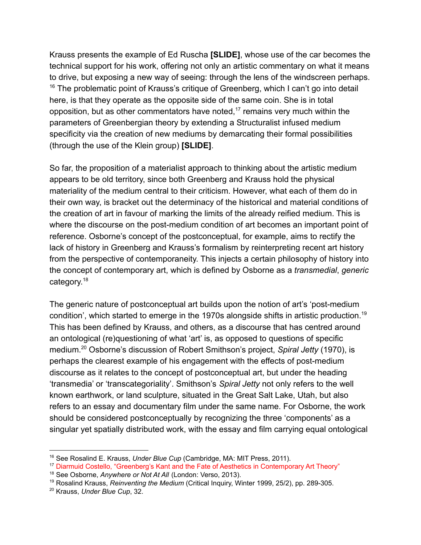Krauss presents the example of Ed Ruscha **[SLIDE]**, whose use of the car becomes the technical support for his work, offering not only an artistic commentary on what it means to drive, but exposing a new way of seeing: through the lens of the windscreen perhaps.  $16$  The problematic point of Krauss's critique of Greenberg, which I can't go into detail here, is that they operate as the opposite side of the same coin. She is in total opposition, but as other commentators have noted,  $17$  remains very much within the parameters of Greenbergian theory by extending a Structuralist infused medium specificity via the creation of new mediums by demarcating their formal possibilities (through the use of the Klein group) **[SLIDE]**.

So far, the proposition of a materialist approach to thinking about the artistic medium appears to be old territory, since both Greenberg and Krauss hold the physical materiality of the medium central to their criticism. However, what each of them do in their own way, is bracket out the determinacy of the historical and material conditions of the creation of art in favour of marking the limits of the already reified medium. This is where the discourse on the post-medium condition of art becomes an important point of reference. Osborne's concept of the postconceptual, for example, aims to rectify the lack of history in Greenberg and Krauss's formalism by reinterpreting recent art history from the perspective of contemporaneity. This injects a certain philosophy of history into the concept of contemporary art, which is defined by Osborne as a *transmedial*, *generic* category.<sup>18</sup>

The generic nature of postconceptual art builds upon the notion of art's 'post-medium condition', which started to emerge in the 1970s alongside shifts in artistic production.<sup>19</sup> This has been defined by Krauss, and others, as a discourse that has centred around an ontological (re)questioning of what 'art' is, as opposed to questions of specific medium.<sup>20</sup> Osborne's discussion of Robert Smithson's project, *Spiral Jetty* (1970), is perhaps the clearest example of his engagement with the effects of post-medium discourse as it relates to the concept of postconceptual art, but under the heading 'transmedia' or 'transcategoriality'. Smithson's *Spiral Jetty* not only refers to the well known earthwork, or land sculpture, situated in the Great Salt Lake, Utah, but also refers to an essay and documentary film under the same name. For Osborne, the work should be considered postconceptually by recognizing the three 'components' as a singular yet spatially distributed work, with the essay and film carrying equal ontological

<sup>16</sup> See Rosalind E. Krauss, *Under Blue Cup* (Cambridge, MA: MIT Press, 2011).

<sup>&</sup>lt;sup>17</sup> Diarmuid Costello, "Greenberg's Kant and the Fate of Aesthetics in Contemporary Art Theory"

<sup>18</sup> See Osborne, *Anywhere or Not At All* (London: Verso, 2013).

<sup>19</sup> Rosalind Krauss, *Reinventing the Medium* (Critical Inquiry, Winter 1999, 25/2), pp. 289-305.

<sup>20</sup> Krauss, *Under Blue Cup*, 32.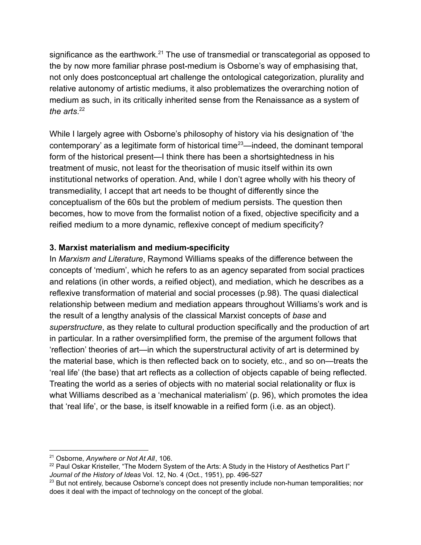significance as the earthwork.<sup>21</sup> The use of transmedial or transcategorial as opposed to the by now more familiar phrase post-medium is Osborne's way of emphasising that, not only does postconceptual art challenge the ontological categorization, plurality and relative autonomy of artistic mediums, it also problematizes the overarching notion of medium as such, in its critically inherited sense from the Renaissance as a system of *the arts*. 22

While I largely agree with Osborne's philosophy of history via his designation of 'the contemporary' as a legitimate form of historical time<sup>23</sup>—indeed, the dominant temporal form of the historical present—I think there has been a shortsightedness in his treatment of music, not least for the theorisation of music itself within its own institutional networks of operation. And, while I don't agree wholly with his theory of transmediality, I accept that art needs to be thought of differently since the conceptualism of the 60s but the problem of medium persists. The question then becomes, how to move from the formalist notion of a fixed, objective specificity and a reified medium to a more dynamic, reflexive concept of medium specificity?

## **3. Marxist materialism and medium-specificity**

In *Marxism and Literature*, Raymond Williams speaks of the difference between the concepts of 'medium', which he refers to as an agency separated from social practices and relations (in other words, a reified object), and mediation, which he describes as a reflexive transformation of material and social processes (p.98). The quasi dialectical relationship between medium and mediation appears throughout Williams's work and is the result of a lengthy analysis of the classical Marxist concepts of *base* and *superstructure*, as they relate to cultural production specifically and the production of art in particular. In a rather oversimplified form, the premise of the argument follows that 'reflection' theories of art—in which the superstructural activity of art is determined by the material base, which is then reflected back on to society, etc., and so on—treats the 'real life' (the base) that art reflects as a collection of objects capable of being reflected. Treating the world as a series of objects with no material social relationality or flux is what Williams described as a 'mechanical materialism' (p. 96), which promotes the idea that 'real life', or the base, is itself knowable in a reified form (i.e. as an object).

<sup>21</sup> Osborne, *Anywhere or Not At All*, 106.

<sup>&</sup>lt;sup>22</sup> Paul Oskar Kristeller, "The Modern System of the Arts: A Study in the History of Aesthetics Part I" *Journal of the History of Ideas* Vol. 12, No. 4 (Oct., 1951), pp. 496-527

<sup>&</sup>lt;sup>23</sup> But not entirely, because Osborne's concept does not presently include non-human temporalities; nor does it deal with the impact of technology on the concept of the global.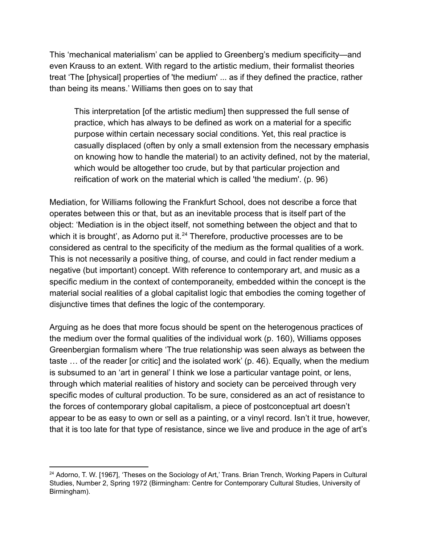This 'mechanical materialism' can be applied to Greenberg's medium specificity—and even Krauss to an extent. With regard to the artistic medium, their formalist theories treat 'The [physical] properties of 'the medium' ... as if they defined the practice, rather than being its means.' Williams then goes on to say that

This interpretation [of the artistic medium] then suppressed the full sense of practice, which has always to be defined as work on a material for a specific purpose within certain necessary social conditions. Yet, this real practice is casually displaced (often by only a small extension from the necessary emphasis on knowing how to handle the material) to an activity defined, not by the material, which would be altogether too crude, but by that particular projection and reification of work on the material which is called 'the medium'. (p. 96)

Mediation, for Williams following the Frankfurt School, does not describe a force that operates between this or that, but as an inevitable process that is itself part of the object: 'Mediation is in the object itself, not something between the object and that to which it is brought', as Adorno put it. $24$  Therefore, productive processes are to be considered as central to the specificity of the medium as the formal qualities of a work. This is not necessarily a positive thing, of course, and could in fact render medium a negative (but important) concept. With reference to contemporary art, and music as a specific medium in the context of contemporaneity, embedded within the concept is the material social realities of a global capitalist logic that embodies the coming together of disjunctive times that defines the logic of the contemporary.

Arguing as he does that more focus should be spent on the heterogenous practices of the medium over the formal qualities of the individual work (p. 160), Williams opposes Greenbergian formalism where 'The true relationship was seen always as between the taste … of the reader [or critic] and the isolated work' (p. 46). Equally, when the medium is subsumed to an 'art in general' I think we lose a particular vantage point, or lens, through which material realities of history and society can be perceived through very specific modes of cultural production. To be sure, considered as an act of resistance to the forces of contemporary global capitalism, a piece of postconceptual art doesn't appear to be as easy to own or sell as a painting, or a vinyl record. Isn't it true, however, that it is too late for that type of resistance, since we live and produce in the age of art's

 $24$  Adorno, T. W. [1967], 'Theses on the Sociology of Art,' Trans. Brian Trench, Working Papers in Cultural Studies, Number 2, Spring 1972 (Birmingham: Centre for Contemporary Cultural Studies, University of Birmingham).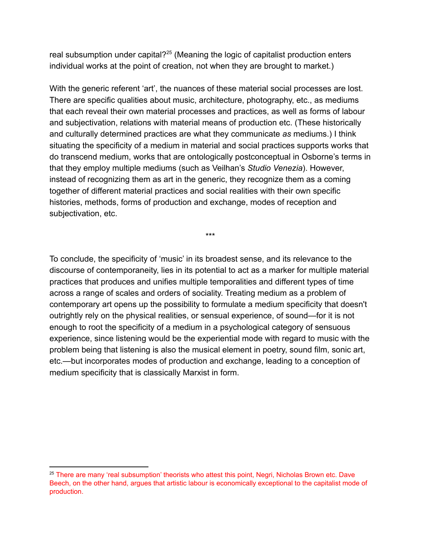real subsumption under capital? $25$  (Meaning the logic of capitalist production enters individual works at the point of creation, not when they are brought to market.)

With the generic referent 'art', the nuances of these material social processes are lost. There are specific qualities about music, architecture, photography, etc., as mediums that each reveal their own material processes and practices, as well as forms of labour and subjectivation, relations with material means of production etc. (These historically and culturally determined practices are what they communicate *as* mediums.) I think situating the specificity of a medium in material and social practices supports works that do transcend medium, works that are ontologically postconceptual in Osborne's terms in that they employ multiple mediums (such as Veilhan's *Studio Venezia*). However, instead of recognizing them as art in the generic, they recognize them as a coming together of different material practices and social realities with their own specific histories, methods, forms of production and exchange, modes of reception and subjectivation, etc.

To conclude, the specificity of 'music' in its broadest sense, and its relevance to the discourse of contemporaneity, lies in its potential to act as a marker for multiple material practices that produces and unifies multiple temporalities and different types of time across a range of scales and orders of sociality. Treating medium as a problem of contemporary art opens up the possibility to formulate a medium specificity that doesn't outrightly rely on the physical realities, or sensual experience, of sound—for it is not enough to root the specificity of a medium in a psychological category of sensuous experience, since listening would be the experiential mode with regard to music with the problem being that listening is also the musical element in poetry, sound film, sonic art, etc.—but incorporates modes of production and exchange, leading to a conception of medium specificity that is classically Marxist in form.

\*\*\*

<sup>&</sup>lt;sup>25</sup> There are many 'real subsumption' theorists who attest this point, Negri, Nicholas Brown etc. Dave Beech, on the other hand, argues that artistic labour is economically exceptional to the capitalist mode of production.